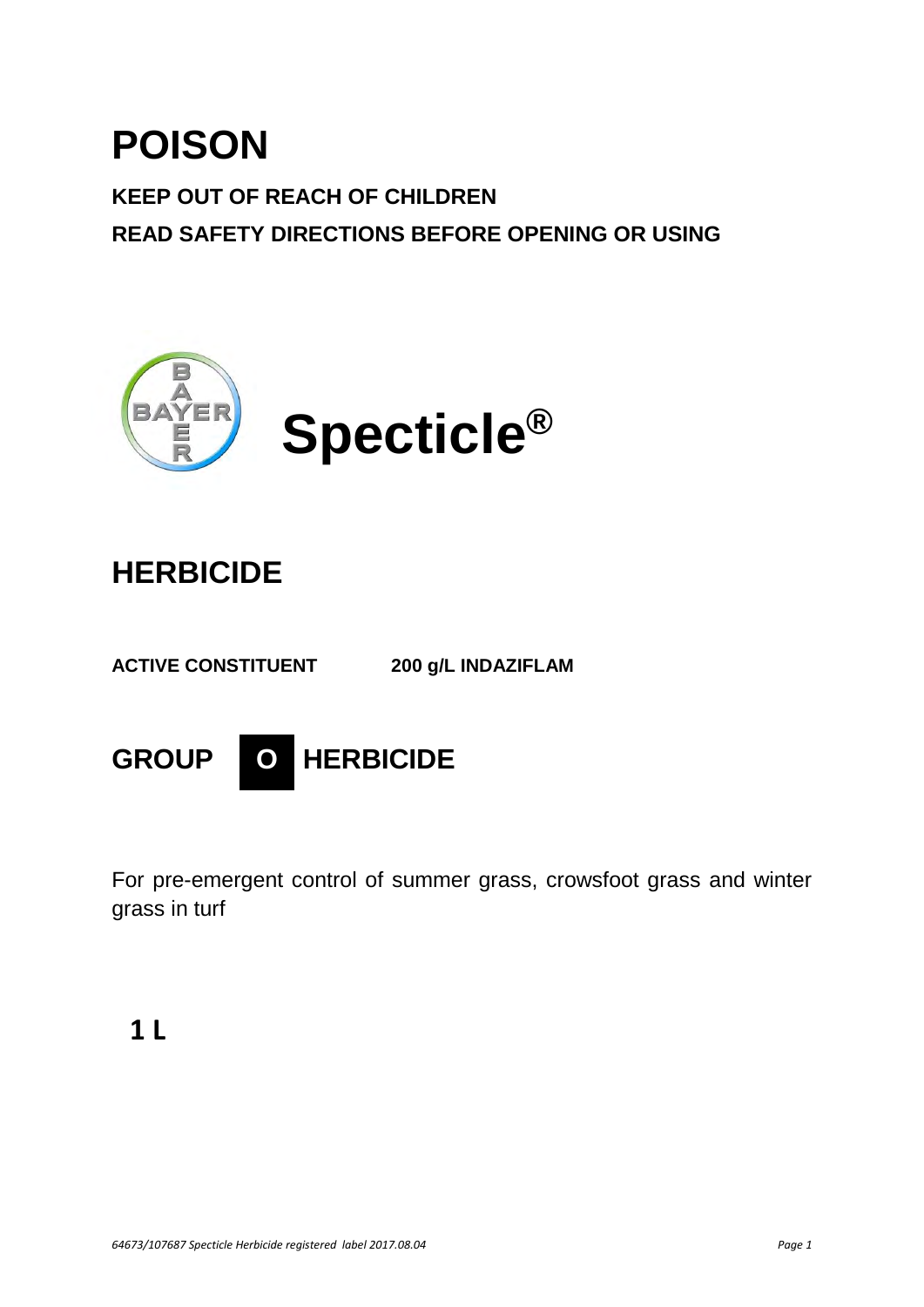# **POISON**

**KEEP OUT OF REACH OF CHILDREN READ SAFETY DIRECTIONS BEFORE OPENING OR USING** 



## **HERBICIDE**

**ACTIVE CONSTITUENT 200 g/L INDAZIFLAM** 



For pre-emergent control of summer grass, crowsfoot grass and winter grass in turf

### **1 L**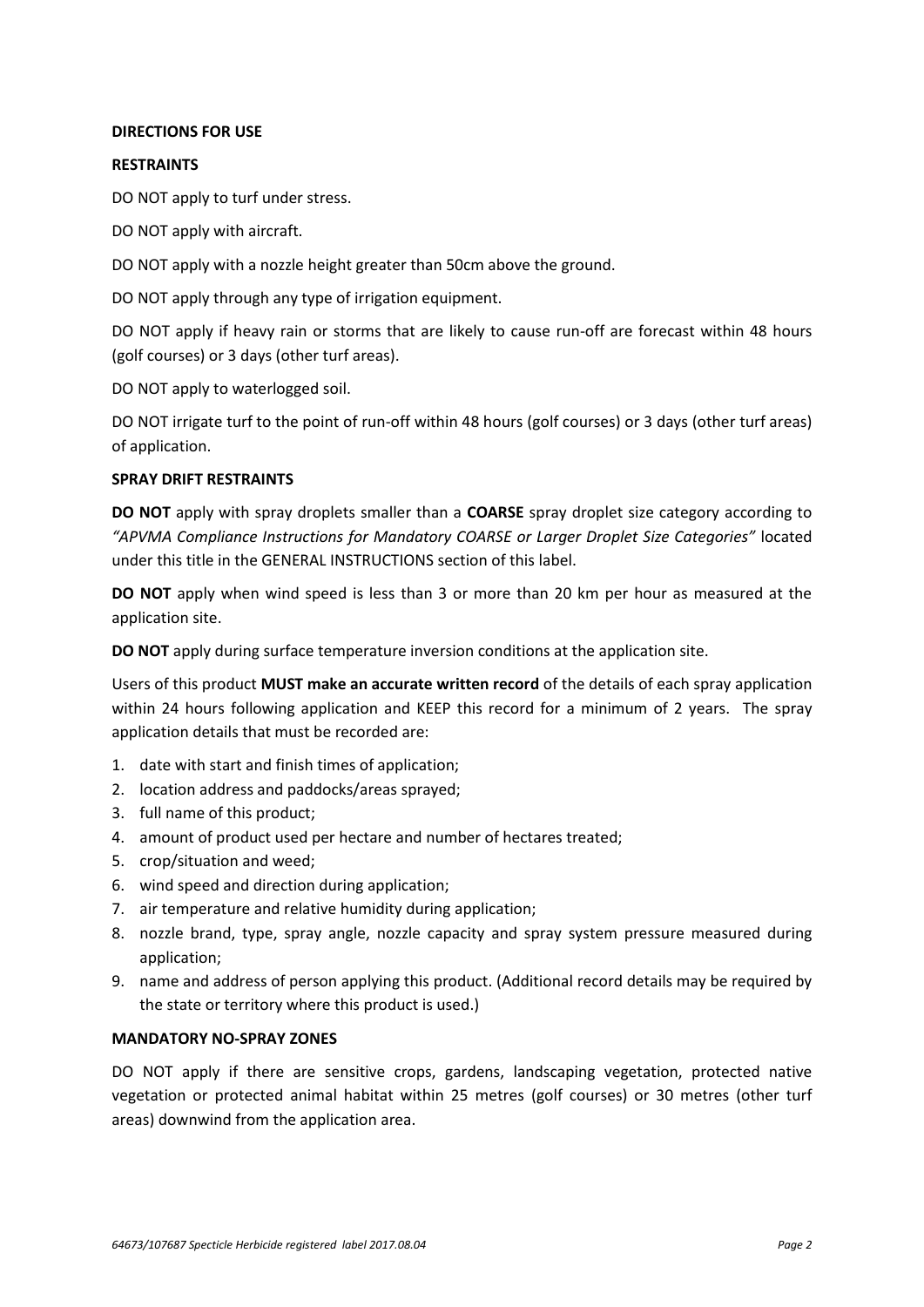#### **DIRECTIONS FOR USE**

#### **RESTRAINTS**

DO NOT apply to turf under stress.

DO NOT apply with aircraft.

DO NOT apply with a nozzle height greater than 50cm above the ground.

DO NOT apply through any type of irrigation equipment.

DO NOT apply if heavy rain or storms that are likely to cause run-off are forecast within 48 hours (golf courses) or 3 days (other turf areas).

DO NOT apply to waterlogged soil.

DO NOT irrigate turf to the point of run-off within 48 hours (golf courses) or 3 days (other turf areas) of application.

#### **SPRAY DRIFT RESTRAINTS**

**DO NOT** apply with spray droplets smaller than a **COARSE** spray droplet size category according to *"APVMA Compliance Instructions for Mandatory COARSE or Larger Droplet Size Categories"* located under this title in the GENERAL INSTRUCTIONS section of this label.

**DO NOT** apply when wind speed is less than 3 or more than 20 km per hour as measured at the application site.

**DO NOT** apply during surface temperature inversion conditions at the application site.

Users of this product **MUST make an accurate written record** of the details of each spray application within 24 hours following application and KEEP this record for a minimum of 2 years. The spray application details that must be recorded are:

- 1. date with start and finish times of application;
- 2. location address and paddocks/areas sprayed;
- 3. full name of this product;
- 4. amount of product used per hectare and number of hectares treated;
- 5. crop/situation and weed;
- 6. wind speed and direction during application;
- 7. air temperature and relative humidity during application;
- 8. nozzle brand, type, spray angle, nozzle capacity and spray system pressure measured during application;
- 9. name and address of person applying this product. (Additional record details may be required by the state or territory where this product is used.)

#### **MANDATORY NO-SPRAY ZONES**

DO NOT apply if there are sensitive crops, gardens, landscaping vegetation, protected native vegetation or protected animal habitat within 25 metres (golf courses) or 30 metres (other turf areas) downwind from the application area.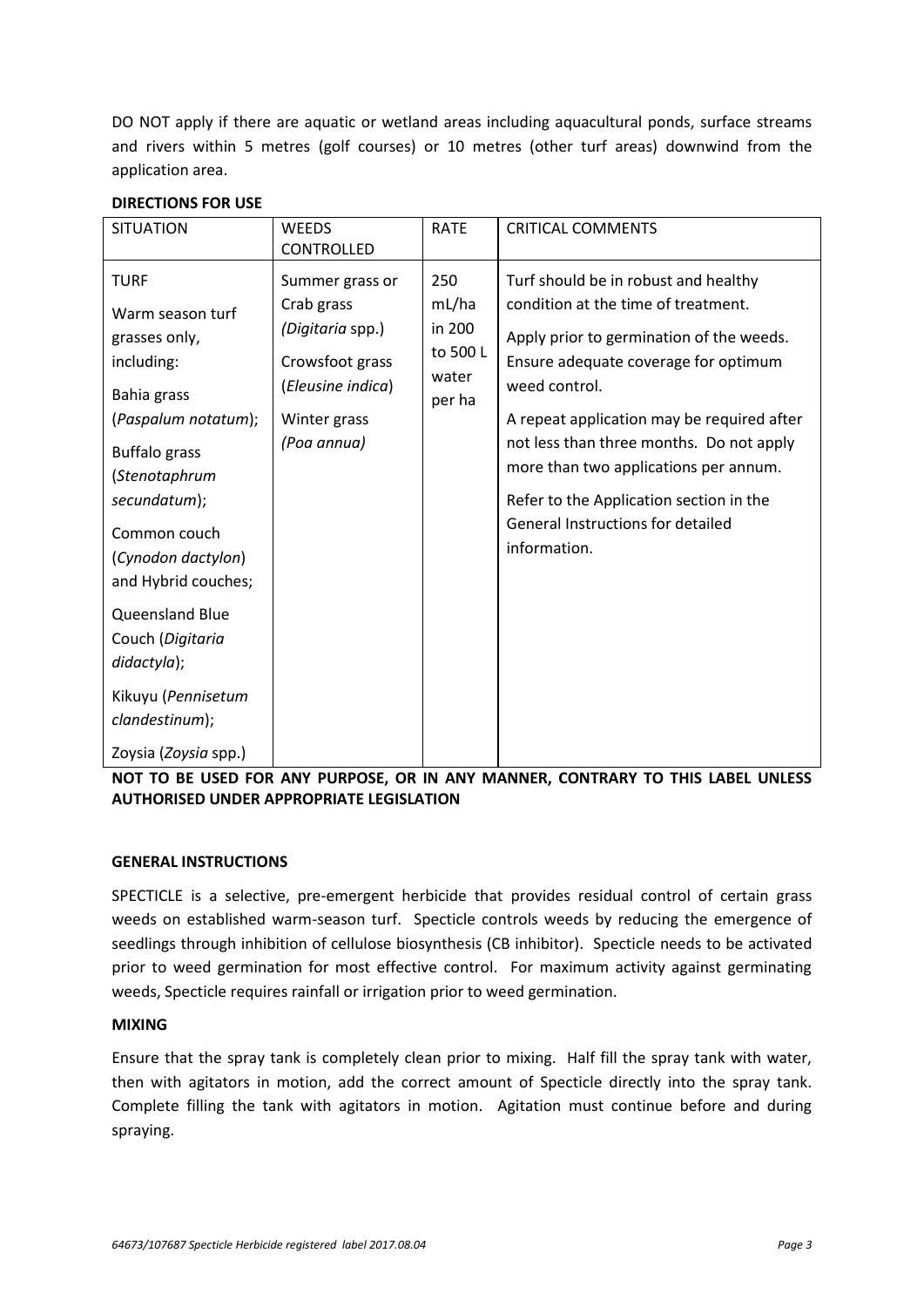DO NOT apply if there are aquatic or wetland areas including aquacultural ponds, surface streams and rivers within 5 metres (golf courses) or 10 metres (other turf areas) downwind from the application area.

| <b>SITUATION</b>                                                                                                                                                                                                                                                                                                                                 | <b>WEEDS</b><br><b>CONTROLLED</b>                                                                                        | <b>RATE</b>                                           | <b>CRITICAL COMMENTS</b>                                                                                                                                                                                                                                                                                                                                                                                            |
|--------------------------------------------------------------------------------------------------------------------------------------------------------------------------------------------------------------------------------------------------------------------------------------------------------------------------------------------------|--------------------------------------------------------------------------------------------------------------------------|-------------------------------------------------------|---------------------------------------------------------------------------------------------------------------------------------------------------------------------------------------------------------------------------------------------------------------------------------------------------------------------------------------------------------------------------------------------------------------------|
| <b>TURF</b><br>Warm season turf<br>grasses only,<br>including:<br>Bahia grass<br>(Paspalum notatum);<br><b>Buffalo</b> grass<br>(Stenotaphrum<br>secundatum);<br>Common couch<br>(Cynodon dactylon)<br>and Hybrid couches;<br>Queensland Blue<br>Couch (Digitaria<br>didactyla);<br>Kikuyu (Pennisetum<br>clandestinum);<br>Zoysia (Zoysia spp.) | Summer grass or<br>Crab grass<br>(Digitaria spp.)<br>Crowsfoot grass<br>(Eleusine indica)<br>Winter grass<br>(Poa annua) | 250<br>mL/ha<br>in 200<br>to 500 L<br>water<br>per ha | Turf should be in robust and healthy<br>condition at the time of treatment.<br>Apply prior to germination of the weeds.<br>Ensure adequate coverage for optimum<br>weed control.<br>A repeat application may be required after<br>not less than three months. Do not apply<br>more than two applications per annum.<br>Refer to the Application section in the<br>General Instructions for detailed<br>information. |

#### **DIRECTIONS FOR USE**

**NOT TO BE USED FOR ANY PURPOSE, OR IN ANY MANNER, CONTRARY TO THIS LABEL UNLESS AUTHORISED UNDER APPROPRIATE LEGISLATION** 

#### **GENERAL INSTRUCTIONS**

SPECTICLE is a selective, pre-emergent herbicide that provides residual control of certain grass weeds on established warm-season turf. Specticle controls weeds by reducing the emergence of seedlings through inhibition of cellulose biosynthesis (CB inhibitor). Specticle needs to be activated prior to weed germination for most effective control. For maximum activity against germinating weeds, Specticle requires rainfall or irrigation prior to weed germination.

#### **MIXING**

Ensure that the spray tank is completely clean prior to mixing. Half fill the spray tank with water, then with agitators in motion, add the correct amount of Specticle directly into the spray tank. Complete filling the tank with agitators in motion. Agitation must continue before and during spraying.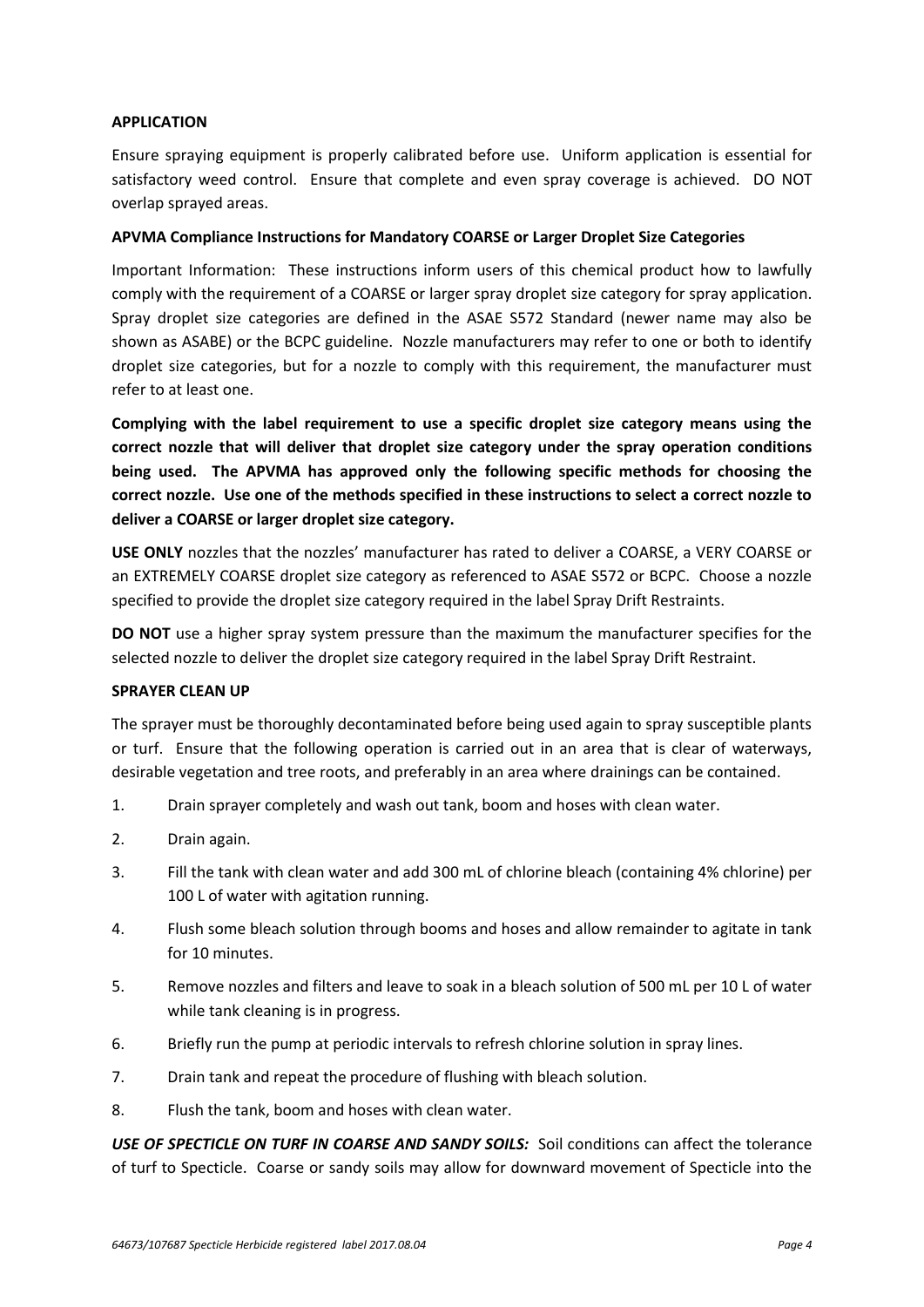#### **APPLICATION**

Ensure spraying equipment is properly calibrated before use. Uniform application is essential for satisfactory weed control. Ensure that complete and even spray coverage is achieved. DO NOT overlap sprayed areas.

#### **APVMA Compliance Instructions for Mandatory COARSE or Larger Droplet Size Categories**

Important Information: These instructions inform users of this chemical product how to lawfully comply with the requirement of a COARSE or larger spray droplet size category for spray application. Spray droplet size categories are defined in the ASAE S572 Standard (newer name may also be shown as ASABE) or the BCPC guideline. Nozzle manufacturers may refer to one or both to identify droplet size categories, but for a nozzle to comply with this requirement, the manufacturer must refer to at least one.

**Complying with the label requirement to use a specific droplet size category means using the correct nozzle that will deliver that droplet size category under the spray operation conditions being used. The APVMA has approved only the following specific methods for choosing the correct nozzle. Use one of the methods specified in these instructions to select a correct nozzle to deliver a COARSE or larger droplet size category.** 

**USE ONLY** nozzles that the nozzles' manufacturer has rated to deliver a COARSE, a VERY COARSE or an EXTREMELY COARSE droplet size category as referenced to ASAE S572 or BCPC. Choose a nozzle specified to provide the droplet size category required in the label Spray Drift Restraints.

**DO NOT** use a higher spray system pressure than the maximum the manufacturer specifies for the selected nozzle to deliver the droplet size category required in the label Spray Drift Restraint.

#### **SPRAYER CLEAN UP**

The sprayer must be thoroughly decontaminated before being used again to spray susceptible plants or turf. Ensure that the following operation is carried out in an area that is clear of waterways, desirable vegetation and tree roots, and preferably in an area where drainings can be contained.

- 1. Drain sprayer completely and wash out tank, boom and hoses with clean water.
- 2. Drain again.
- 3. Fill the tank with clean water and add 300 mL of chlorine bleach (containing 4% chlorine) per 100 L of water with agitation running.
- 4. Flush some bleach solution through booms and hoses and allow remainder to agitate in tank for 10 minutes.
- 5. Remove nozzles and filters and leave to soak in a bleach solution of 500 mL per 10 L of water while tank cleaning is in progress.
- 6. Briefly run the pump at periodic intervals to refresh chlorine solution in spray lines.
- 7. Drain tank and repeat the procedure of flushing with bleach solution.
- 8. Flush the tank, boom and hoses with clean water.

*USE OF SPECTICLE ON TURF IN COARSE AND SANDY SOILS:* Soil conditions can affect the tolerance of turf to Specticle. Coarse or sandy soils may allow for downward movement of Specticle into the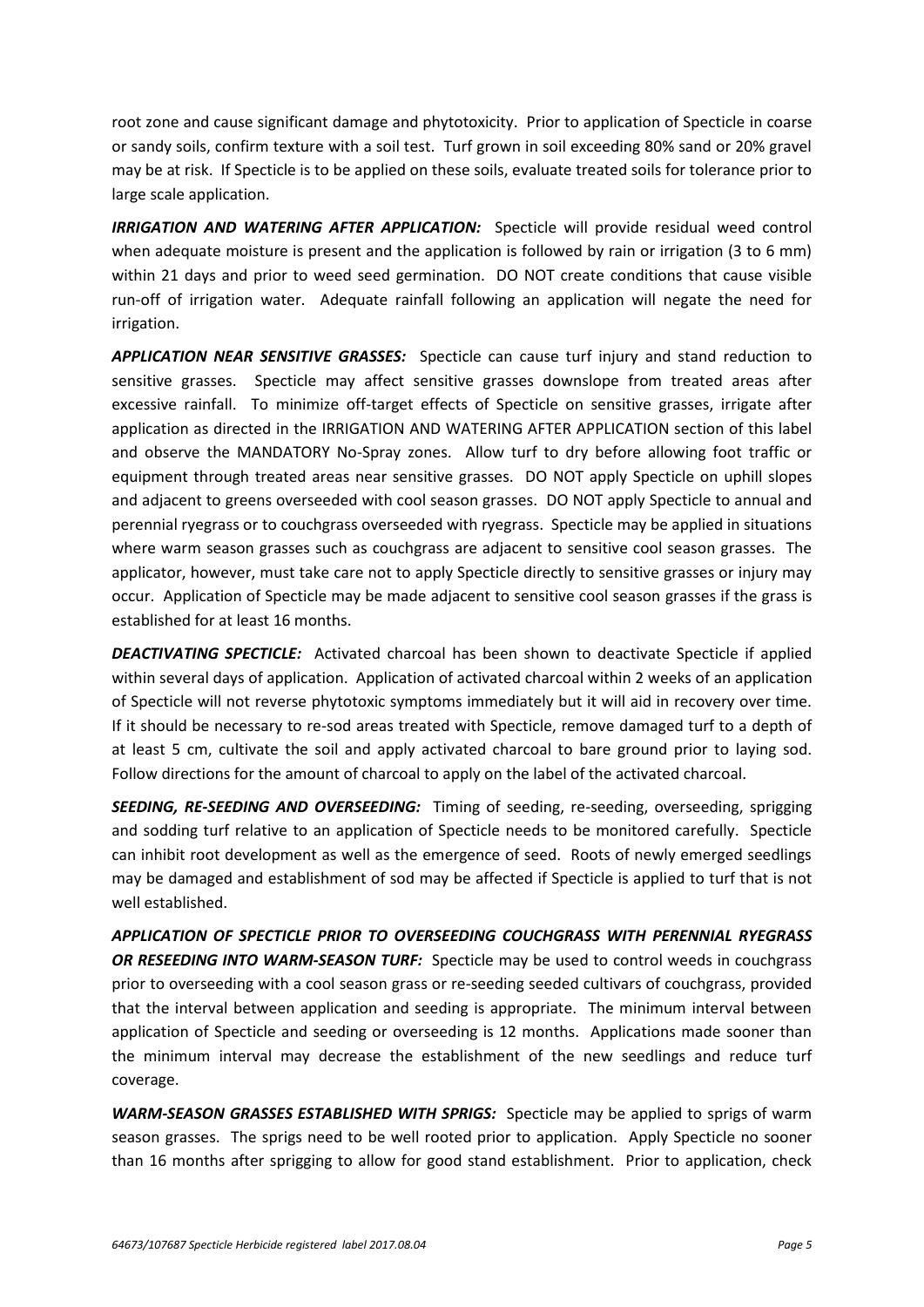root zone and cause significant damage and phytotoxicity. Prior to application of Specticle in coarse or sandy soils, confirm texture with a soil test. Turf grown in soil exceeding 80% sand or 20% gravel may be at risk. If Specticle is to be applied on these soils, evaluate treated soils for tolerance prior to large scale application.

*IRRIGATION AND WATERING AFTER APPLICATION:* Specticle will provide residual weed control when adequate moisture is present and the application is followed by rain or irrigation (3 to 6 mm) within 21 days and prior to weed seed germination. DO NOT create conditions that cause visible run-off of irrigation water. Adequate rainfall following an application will negate the need for irrigation.

*APPLICATION NEAR SENSITIVE GRASSES:* Specticle can cause turf injury and stand reduction to sensitive grasses. Specticle may affect sensitive grasses downslope from treated areas after excessive rainfall. To minimize off-target effects of Specticle on sensitive grasses, irrigate after application as directed in the IRRIGATION AND WATERING AFTER APPLICATION section of this label and observe the MANDATORY No-Spray zones. Allow turf to dry before allowing foot traffic or equipment through treated areas near sensitive grasses. DO NOT apply Specticle on uphill slopes and adjacent to greens overseeded with cool season grasses. DO NOT apply Specticle to annual and perennial ryegrass or to couchgrass overseeded with ryegrass. Specticle may be applied in situations where warm season grasses such as couchgrass are adjacent to sensitive cool season grasses. The applicator, however, must take care not to apply Specticle directly to sensitive grasses or injury may occur. Application of Specticle may be made adjacent to sensitive cool season grasses if the grass is established for at least 16 months.

**DEACTIVATING SPECTICLE:** Activated charcoal has been shown to deactivate Specticle if applied within several days of application. Application of activated charcoal within 2 weeks of an application of Specticle will not reverse phytotoxic symptoms immediately but it will aid in recovery over time. If it should be necessary to re-sod areas treated with Specticle, remove damaged turf to a depth of at least 5 cm, cultivate the soil and apply activated charcoal to bare ground prior to laying sod. Follow directions for the amount of charcoal to apply on the label of the activated charcoal.

*SEEDING, RE-SEEDING AND OVERSEEDING:* Timing of seeding, re-seeding, overseeding, sprigging and sodding turf relative to an application of Specticle needs to be monitored carefully. Specticle can inhibit root development as well as the emergence of seed. Roots of newly emerged seedlings may be damaged and establishment of sod may be affected if Specticle is applied to turf that is not well established.

*APPLICATION OF SPECTICLE PRIOR TO OVERSEEDING COUCHGRASS WITH PERENNIAL RYEGRASS OR RESEEDING INTO WARM-SEASON TURF:* Specticle may be used to control weeds in couchgrass prior to overseeding with a cool season grass or re-seeding seeded cultivars of couchgrass, provided that the interval between application and seeding is appropriate. The minimum interval between application of Specticle and seeding or overseeding is 12 months. Applications made sooner than the minimum interval may decrease the establishment of the new seedlings and reduce turf coverage.

*WARM-SEASON GRASSES ESTABLISHED WITH SPRIGS:* Specticle may be applied to sprigs of warm season grasses. The sprigs need to be well rooted prior to application. Apply Specticle no sooner than 16 months after sprigging to allow for good stand establishment. Prior to application, check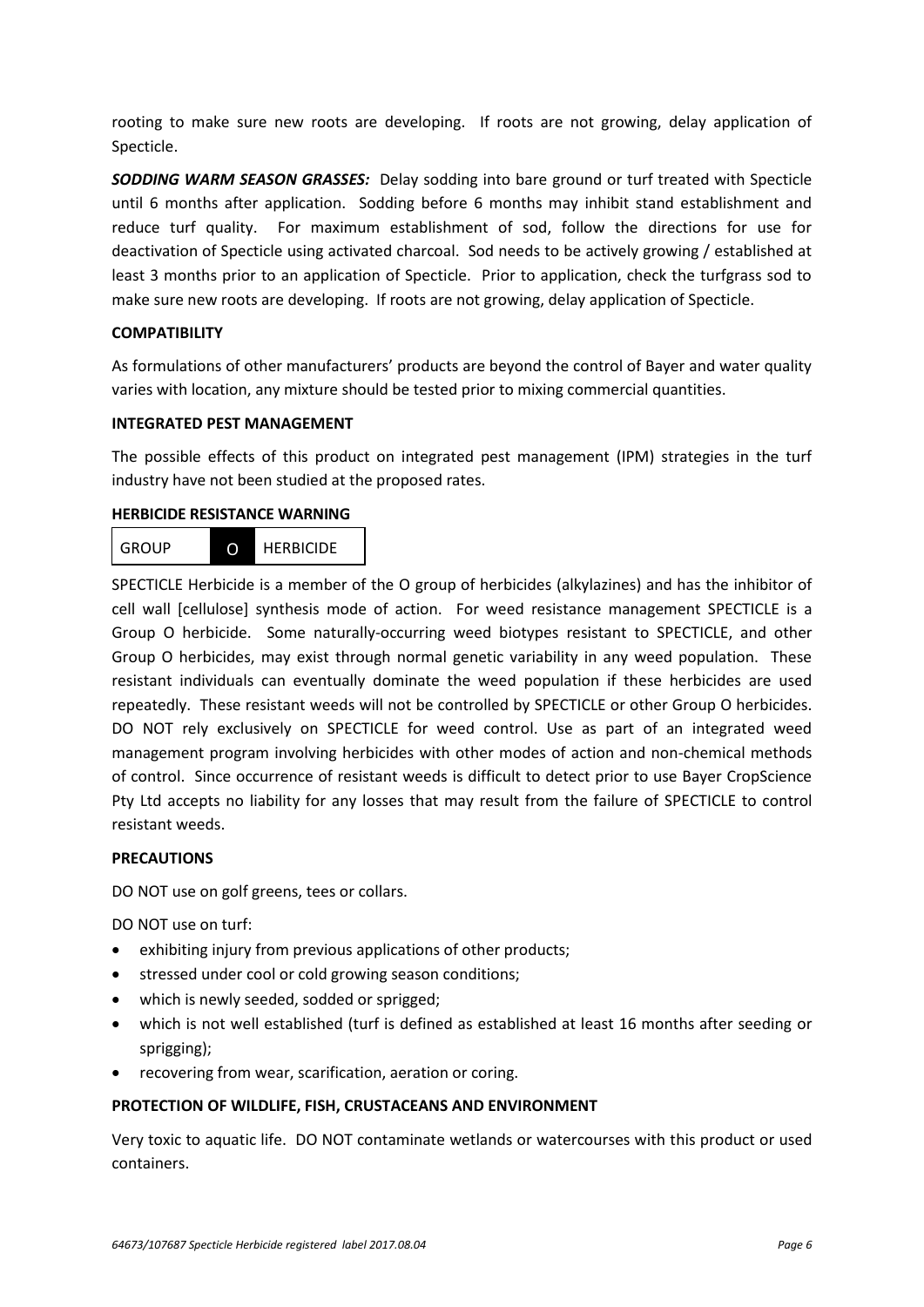rooting to make sure new roots are developing. If roots are not growing, delay application of Specticle.

*SODDING WARM SEASON GRASSES:* Delay sodding into bare ground or turf treated with Specticle until 6 months after application. Sodding before 6 months may inhibit stand establishment and reduce turf quality. For maximum establishment of sod, follow the directions for use for deactivation of Specticle using activated charcoal. Sod needs to be actively growing / established at least 3 months prior to an application of Specticle. Prior to application, check the turfgrass sod to make sure new roots are developing. If roots are not growing, delay application of Specticle.

#### **COMPATIBILITY**

As formulations of other manufacturers' products are beyond the control of Bayer and water quality varies with location, any mixture should be tested prior to mixing commercial quantities.

#### **INTEGRATED PEST MANAGEMENT**

The possible effects of this product on integrated pest management (IPM) strategies in the turf industry have not been studied at the proposed rates.

#### **HERBICIDE RESISTANCE WARNING**



SPECTICLE Herbicide is a member of the O group of herbicides (alkylazines) and has the inhibitor of cell wall [cellulose] synthesis mode of action. For weed resistance management SPECTICLE is a Group O herbicide. Some naturally-occurring weed biotypes resistant to SPECTICLE, and other Group O herbicides, may exist through normal genetic variability in any weed population. These resistant individuals can eventually dominate the weed population if these herbicides are used repeatedly. These resistant weeds will not be controlled by SPECTICLE or other Group O herbicides. DO NOT rely exclusively on SPECTICLE for weed control. Use as part of an integrated weed management program involving herbicides with other modes of action and non-chemical methods of control. Since occurrence of resistant weeds is difficult to detect prior to use Bayer CropScience Pty Ltd accepts no liability for any losses that may result from the failure of SPECTICLE to control resistant weeds.

#### **PRECAUTIONS**

DO NOT use on golf greens, tees or collars.

DO NOT use on turf:

- exhibiting injury from previous applications of other products;
- stressed under cool or cold growing season conditions;
- which is newly seeded, sodded or sprigged;
- which is not well established (turf is defined as established at least 16 months after seeding or sprigging);
- recovering from wear, scarification, aeration or coring.

#### **PROTECTION OF WILDLIFE, FISH, CRUSTACEANS AND ENVIRONMENT**

Very toxic to aquatic life. DO NOT contaminate wetlands or watercourses with this product or used containers.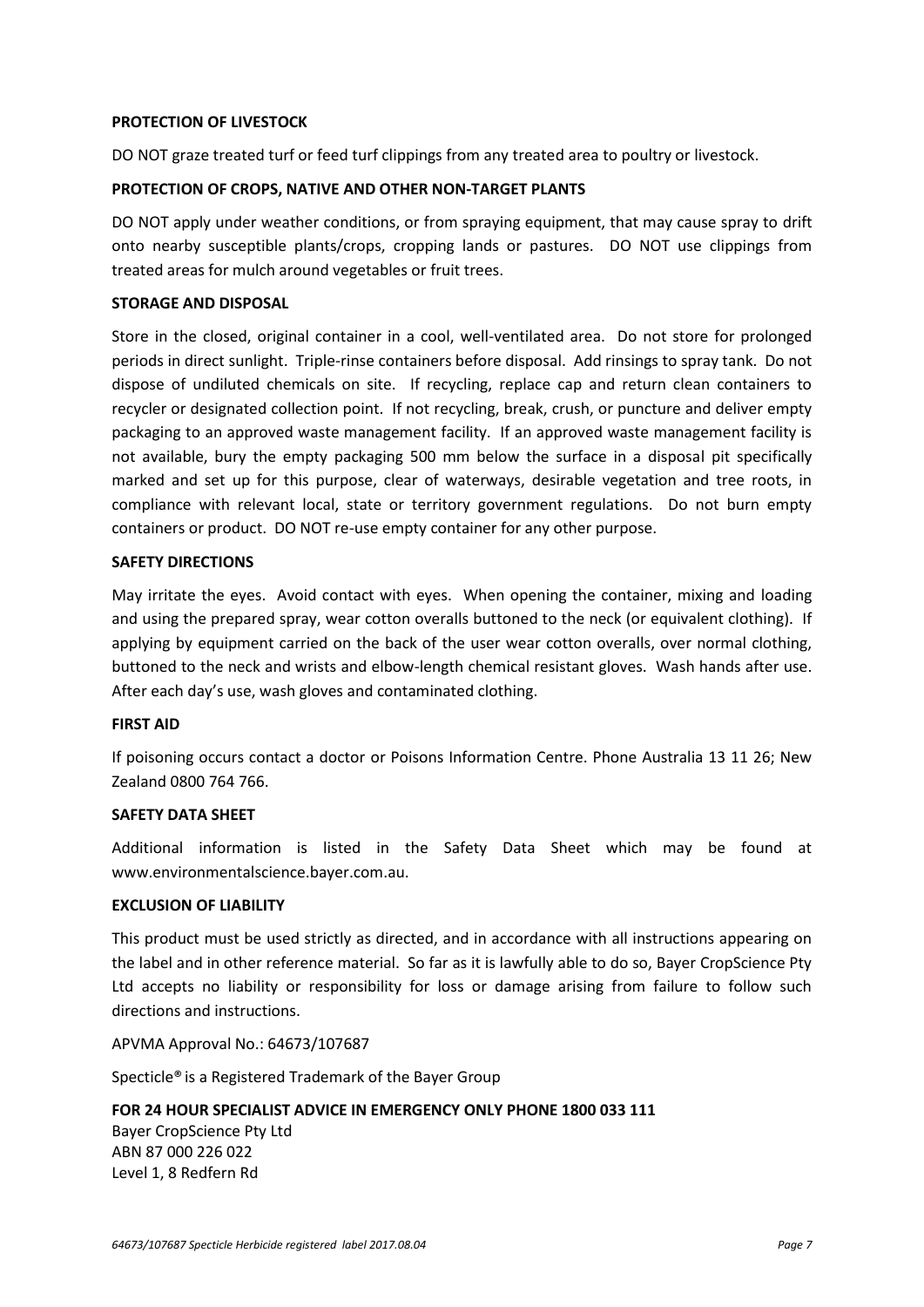#### **PROTECTION OF LIVESTOCK**

DO NOT graze treated turf or feed turf clippings from any treated area to poultry or livestock.

#### **PROTECTION OF CROPS, NATIVE AND OTHER NON-TARGET PLANTS**

DO NOT apply under weather conditions, or from spraying equipment, that may cause spray to drift onto nearby susceptible plants/crops, cropping lands or pastures. DO NOT use clippings from treated areas for mulch around vegetables or fruit trees.

#### **STORAGE AND DISPOSAL**

Store in the closed, original container in a cool, well-ventilated area. Do not store for prolonged periods in direct sunlight.Triple-rinse containers before disposal. Add rinsings to spray tank. Do not dispose of undiluted chemicals on site. If recycling, replace cap and return clean containers to recycler or designated collection point. If not recycling, break, crush, or puncture and deliver empty packaging to an approved waste management facility. If an approved waste management facility is not available, bury the empty packaging 500 mm below the surface in a disposal pit specifically marked and set up for this purpose, clear of waterways, desirable vegetation and tree roots, in compliance with relevant local, state or territory government regulations. Do not burn empty containers or product. DO NOT re-use empty container for any other purpose.

#### **SAFETY DIRECTIONS**

May irritate the eyes. Avoid contact with eyes. When opening the container, mixing and loading and using the prepared spray, wear cotton overalls buttoned to the neck (or equivalent clothing). If applying by equipment carried on the back of the user wear cotton overalls, over normal clothing, buttoned to the neck and wrists and elbow-length chemical resistant gloves. Wash hands after use. After each day's use, wash gloves and contaminated clothing.

#### **FIRST AID**

If poisoning occurs contact a doctor or Poisons Information Centre. Phone Australia 13 11 26; New Zealand 0800 764 766.

#### **SAFETY DATA SHEET**

Additional information is listed in the Safety Data Sheet which may be found at www.environmentalscience.bayer.com.au.

#### **EXCLUSION OF LIABILITY**

This product must be used strictly as directed, and in accordance with all instructions appearing on the label and in other reference material. So far as it is lawfully able to do so, Bayer CropScience Pty Ltd accepts no liability or responsibility for loss or damage arising from failure to follow such directions and instructions.

APVMA Approval No.: 64673/107687

Specticle® is a Registered Trademark of the Bayer Group

#### **FOR 24 HOUR SPECIALIST ADVICE IN EMERGENCY ONLY PHONE 1800 033 111**

Bayer CropScience Pty Ltd ABN 87 000 226 022 Level 1, 8 Redfern Rd